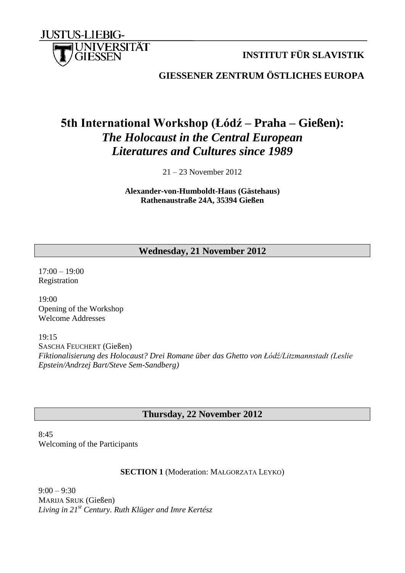

**INSTITUT FÜR SLAVISTIK**

**GIESSENER ZENTRUM ÖSTLICHES EUROPA**

# **5th International Workshop (Łódź – Praha – Gießen):** *The Holocaust in the Central European Literatures and Cultures since 1989*

21 – 23 November 2012

**Alexander-von-Humboldt-Haus (Gästehaus) Rathenaustraße 24A, 35394 Gießen**

# **Wednesday, 21 November 2012**

17:00 – 19:00 Registration

19:00 Opening of the Workshop Welcome Addresses

19:15 SASCHA FEUCHERT (Gießen) *Fiktionalisierung des Holocaust? Drei Romane über das Ghetto von Łódź/Litzmannstadt (Leslie Epstein/Andrzej Bart/Steve Sem-Sandberg)*

# **Thursday, 22 November 2012**

8:45 Welcoming of the Participants

## **SECTION 1** (Moderation: MAŁGORZATA LEYKO)

 $9:00 - 9:30$ MARIJA SRUK (Gießen) *Living in 21st Century. Ruth Klüger and Imre Kertész*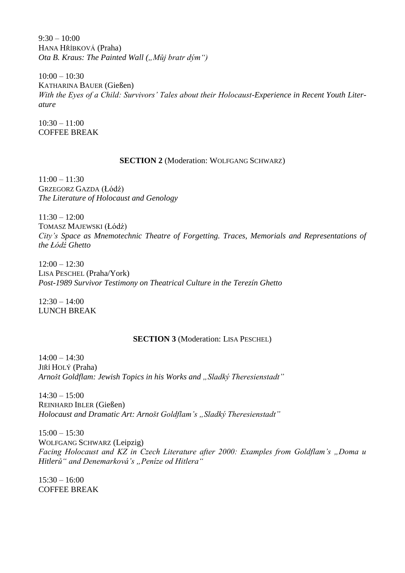$9:30 - 10:00$ HANA HŘÍBKOVÁ (Praha) *Ota B. Kraus: The Painted Wall ("Můj bratr dým")* 

 $10:00 - 10:30$ KATHARINA BAUER (Gießen) With the Eyes of a Child: Survivors' Tales about their Holocaust-Experience in Recent Youth Liter*ature*

 $10:30 - 11:00$ COFFEE BREAK

#### **SECTION 2** (Moderation: WOLFGANG SCHWARZ)

 $11:00 - 11:30$ GRZEGORZ GAZDA (Łódź) *The Literature of Holocaust and Genology*

11:30 – 12:00 TOMASZ MAJEWSKI (Łódź) *City's Space as Mnemotechnic Theatre of Forgetting. Traces, Memorials and Representations of the Łódź Ghetto*

 $12:00 - 12:30$ LISA PESCHEL (Praha/York) *Post-1989 Survivor Testimony on Theatrical Culture in the Terezín Ghetto*

 $12:30 - 14:00$ LUNCH BREAK

## **SECTION 3** (Moderation: LISA PESCHEL)

 $14:00 - 14:30$ JIŘÍ HOLÝ (Praha) *Arnošt Goldflam: Jewish Topics in his Works and "Sladký Theresienstadt"* 

 $14:30 - 15:00$ REINHARD IBLER (Gießen) *Holocaust and Dramatic Art: Arnošt Goldflam's "Sladký Theresienstadt"* 

15:00 – 15:30 WOLFGANG SCHWARZ (Leipzig) *Facing Holocaust and KZ in Czech Literature after 2000: Examples from Goldflam's "Doma u Hitlerů" and Denemarková's "Peníze od Hitlera"*

 $15:30 - 16:00$ COFFEE BREAK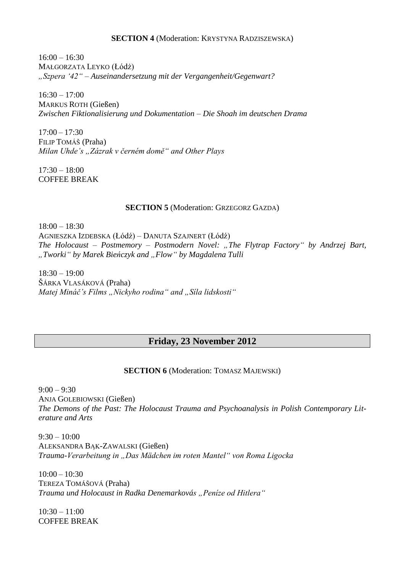#### **SECTION 4** (Moderation: KRYSTYNA RADZISZEWSKA)

 $16:00 - 16:30$ MAŁGORZATA LEYKO (Łódż) *"Szpera '42" – Auseinandersetzung mit der Vergangenheit/Gegenwart?*

 $16:30 - 17:00$ MARKUS ROTH (Gießen) *Zwischen Fiktionalisierung und Dokumentation – Die Shoah im deutschen Drama*

 $17:00 - 17:30$ FILIP TOMÁŠ (Praha) *Milan Uhde's "Zázrak v černém domě" and Other Plays*

 $17:30 - 18:00$ COFFEE BREAK

### **SECTION 5** (Moderation: GRZEGORZ GAZDA)

18:00 – 18:30 AGNIESZKA IZDEBSKA (Łódź) – DANUTA SZAJNERT (Łódź) *The Holocaust – Postmemory – Postmodern Novel: "The Flytrap Factory" by Andrzej Bart, "Tworki" by Marek Bieńczyk and "Flow" by Magdalena Tulli*

 $18:30 - 19:00$ ŠÁRKA VLASÁKOVÁ (Praha) *Matej Mináč's Films "Nickyho rodina" and "Síla lidskosti"* 

# **Friday, 23 November 2012**

**SECTION 6** (Moderation: TOMASZ MAJEWSKI)

 $9:00 - 9:30$ ANJA GOLEBIOWSKI (Gießen) *The Demons of the Past: The Holocaust Trauma and Psychoanalysis in Polish Contemporary Literature and Arts*

 $9:30 - 10:00$ ALEKSANDRA BĄK-ZAWALSKI (Gießen) *Trauma-Verarbeitung in "Das Mädchen im roten Mantel" von Roma Ligocka*

10:00 – 10:30 TEREZA TOMÁŠOVÁ (Praha) *Trauma und Holocaust in Radka Denemarkovás "Peníze od Hitlera"*

 $10:30 - 11:00$ COFFEE BREAK